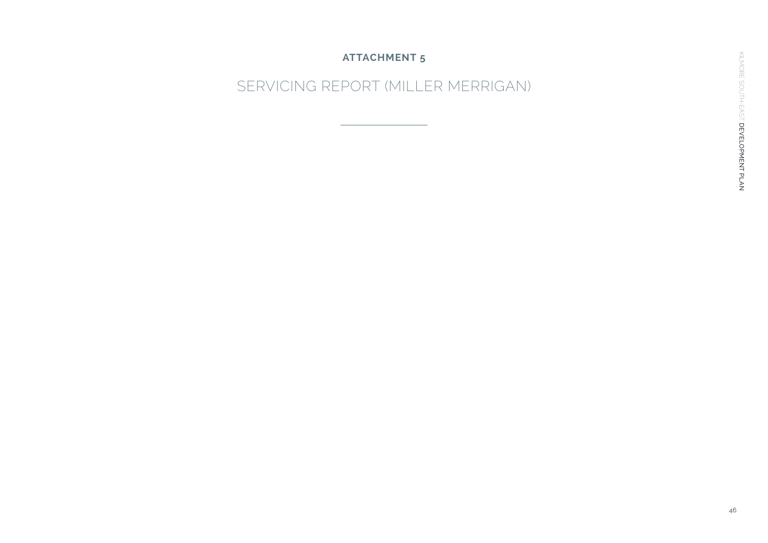#### **ATTACHMENT 5**

## SERVICING REPORT (MILLER MERRIGAN)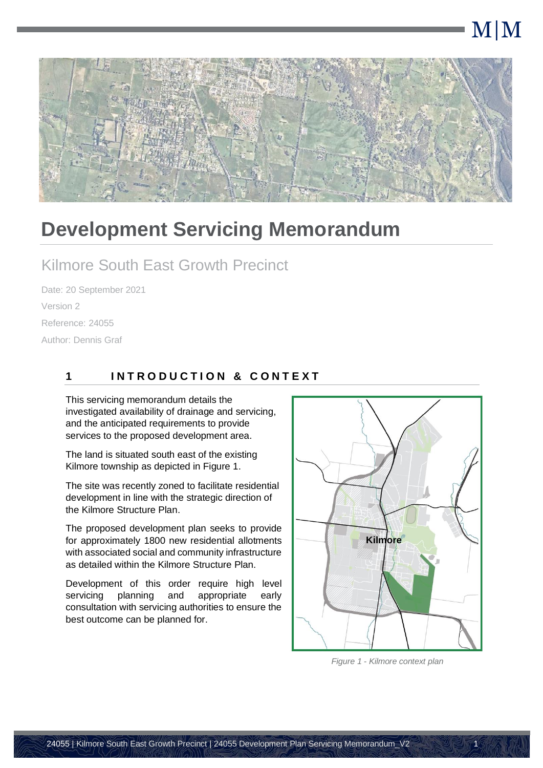# M|M



## **Development Servicing Memorandum**

### Kilmore South East Growth Precinct

Date: 20 September 2021 Version 2 Reference: 24055 Author: Dennis Graf

#### **1 I N T R O D U C T I O N & C O N T E X T**

This servicing memorandum details the investigated availability of drainage and servicing, and the anticipated requirements to provide services to the proposed development area.

The land is situated south east of the existing Kilmore township as depicted in [Figure 1.](#page-1-0)

The site was recently zoned to facilitate residential development in line with the strategic direction of the Kilmore Structure Plan.

The proposed development plan seeks to provide for approximately 1800 new residential allotments with associated social and community infrastructure as detailed within the Kilmore Structure Plan.

Development of this order require high level servicing planning and appropriate early consultation with servicing authorities to ensure the best outcome can be planned for.



<span id="page-1-0"></span>*Figure 1 - Kilmore context plan*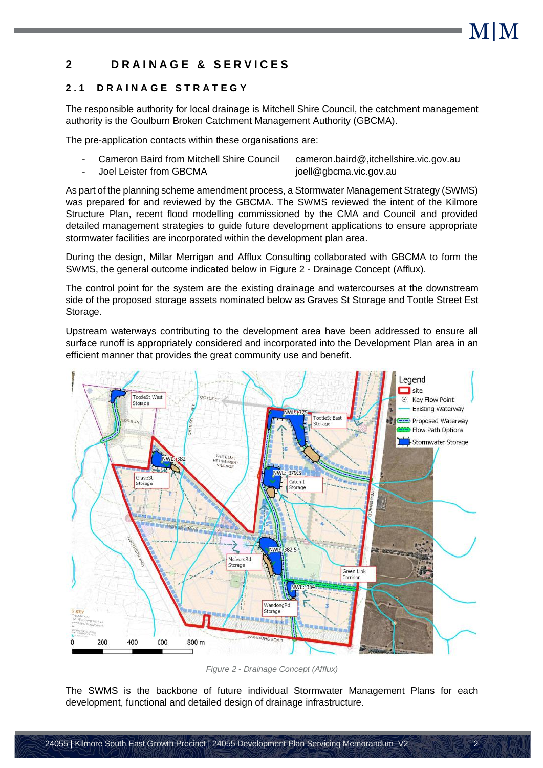$\overline{2}$ 

#### **2 D R A I N A G E & S E R V I C E S**

#### **2 . 1 D R A I N A G E S T R A T E G Y**

The responsible authority for local drainage is Mitchell Shire Council, the catchment management authority is the Goulburn Broken Catchment Management Authority (GBCMA).

The pre-application contacts within these organisations are:

- Cameron Baird from Mitchell Shire Council cameron.baird@,itchellshire.vic.gov.au Joel Leister from GBCMA joell@gbcma.vic.gov.au

As part of the planning scheme amendment process, a Stormwater Management Strategy (SWMS) was prepared for and reviewed by the GBCMA. The SWMS reviewed the intent of the Kilmore Structure Plan, recent flood modelling commissioned by the CMA and Council and provided detailed management strategies to guide future development applications to ensure appropriate stormwater facilities are incorporated within the development plan area.

During the design, Millar Merrigan and Afflux Consulting collaborated with GBCMA to form the SWMS, the general outcome indicated below in Figure 2 - [Drainage Concept](#page-2-0) (Afflux).

The control point for the system are the existing drainage and watercourses at the downstream side of the proposed storage assets nominated below as Graves St Storage and Tootle Street Est Storage.

Upstream waterways contributing to the development area have been addressed to ensure all surface runoff is appropriately considered and incorporated into the Development Plan area in an efficient manner that provides the great community use and benefit.



*Figure 2 - Drainage Concept (Afflux)*

<span id="page-2-0"></span>The SWMS is the backbone of future individual Stormwater Management Plans for each development, functional and detailed design of drainage infrastructure.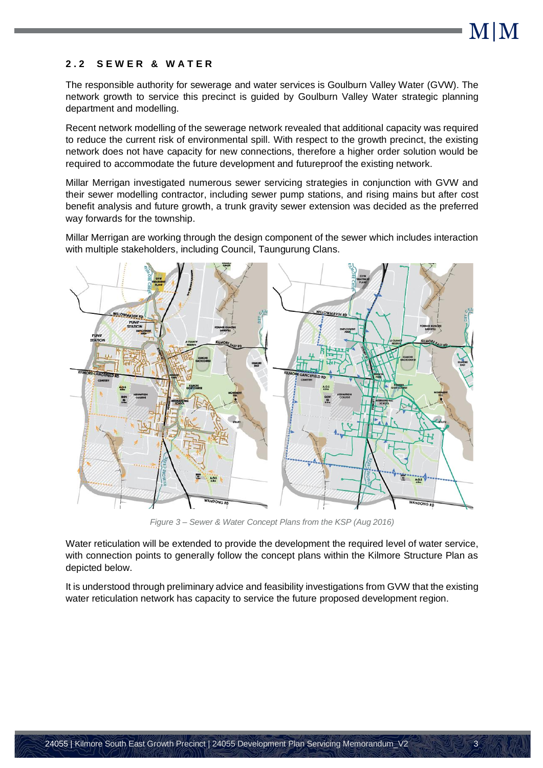#### **2 . 2 S E W E R & W A T E R**

The responsible authority for sewerage and water services is Goulburn Valley Water (GVW). The network growth to service this precinct is guided by Goulburn Valley Water strategic planning department and modelling.

Recent network modelling of the sewerage network revealed that additional capacity was required to reduce the current risk of environmental spill. With respect to the growth precinct, the existing network does not have capacity for new connections, therefore a higher order solution would be required to accommodate the future development and futureproof the existing network.

Millar Merrigan investigated numerous sewer servicing strategies in conjunction with GVW and their sewer modelling contractor, including sewer pump stations, and rising mains but after cost benefit analysis and future growth, a trunk gravity sewer extension was decided as the preferred way forwards for the township.

Millar Merrigan are working through the design component of the sewer which includes interaction with multiple stakeholders, including Council, Taungurung Clans.



*Figure 3 – Sewer & Water Concept Plans from the KSP (Aug 2016)*

Water reticulation will be extended to provide the development the required level of water service, with connection points to generally follow the concept plans within the Kilmore Structure Plan as depicted below.

It is understood through preliminary advice and feasibility investigations from GVW that the existing water reticulation network has capacity to service the future proposed development region.